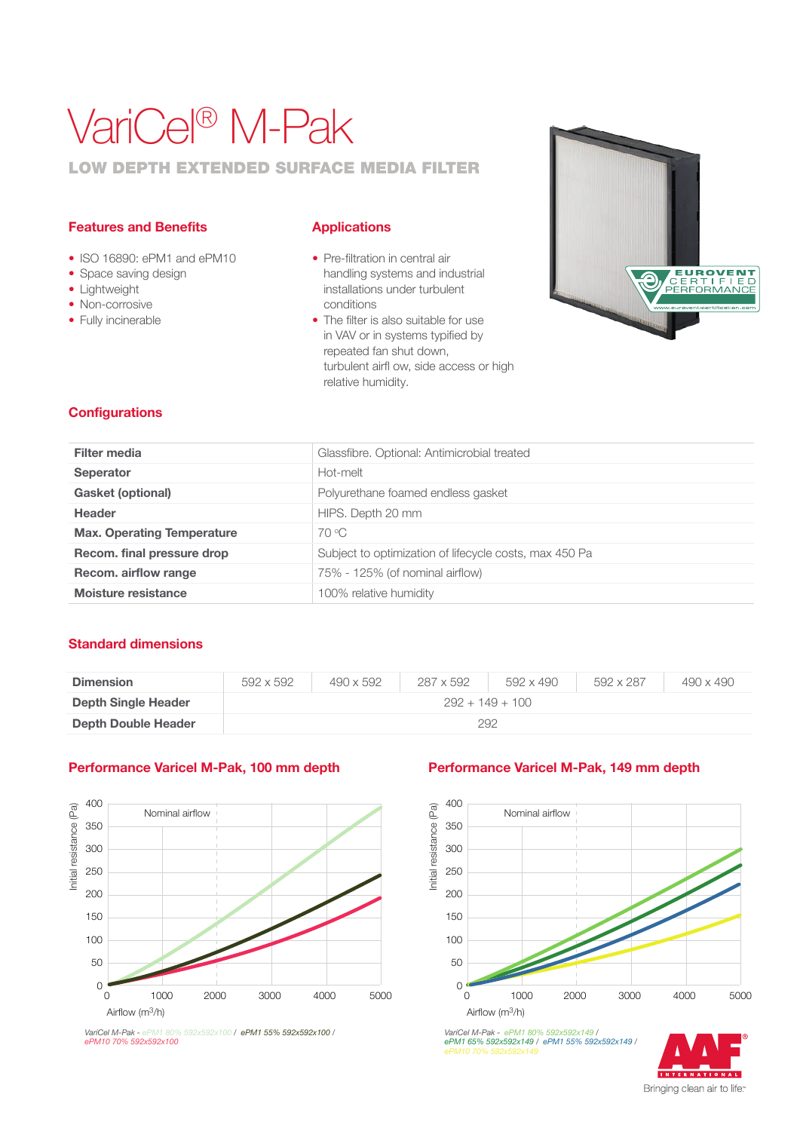# VariCel® M-Pak

### LOW DEPTH EXTENDED SURFACE MEDIA FILTER

#### Features and Benefits

- ISO 16890: ePM1 and ePM10
- Space saving design
- Lightweight
- Non-corrosive
- Fully incinerable

#### **Applications**

- Pre-filtration in central air handling systems and industrial installations under turbulent conditions
- The filter is also suitable for use in VAV or in systems typified by repeated fan shut down, turbulent airfl ow, side access or high relative humidity.



#### **Configurations**

| Filter media                      | Glassfibre. Optional: Antimicrobial treated            |
|-----------------------------------|--------------------------------------------------------|
| <b>Seperator</b>                  | Hot-melt                                               |
| <b>Gasket (optional)</b>          | Polyurethane foamed endless gasket                     |
| <b>Header</b>                     | HIPS. Depth 20 mm                                      |
| <b>Max. Operating Temperature</b> | 70 °C                                                  |
| Recom. final pressure drop        | Subject to optimization of lifecycle costs, max 450 Pa |
| Recom. airflow range              | 75% - 125% (of nominal airflow)                        |
| Moisture resistance               | 100% relative humidity                                 |
|                                   |                                                        |

#### Standard dimensions

| <b>Dimension</b>           | 592 x 592         | $490 \times 592$ | 287 x 592 | 592 x 490 | 592 x 287 | 490 x 490 |  |  |  |
|----------------------------|-------------------|------------------|-----------|-----------|-----------|-----------|--|--|--|
| <b>Depth Single Header</b> | $292 + 149 + 100$ |                  |           |           |           |           |  |  |  |
| Depth Double Header        | 292               |                  |           |           |           |           |  |  |  |

#### Performance Varicel M-Pak, 100 mm depth Performance Varicel M-Pak, 149 mm depth



*VariCel M-Pak - ePM1 80% 592x592x100 / ePM1 55% 592x592x100 / VariCel M-Pak - ePM1 80%*<br>ePM10 70% 592x592x100



*VariCel M-Pak - ePM1 80% 592x592x149 / ePM1 65% 592x592x149 / ePM1 55% 592x592x149 /*